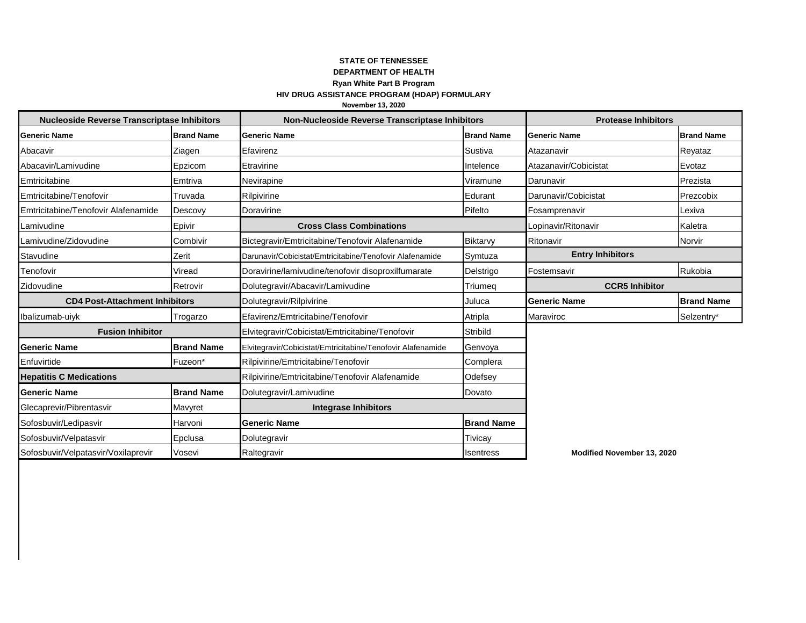## **STATE OF TENNESSEE DEPARTMENT OF HEALTH Ryan White Part B Program** HIV DRUG ASSISTANCE PROGRAM (HDAP) FORMULARY November 13, 2020

| <b>Nucleoside Reverse Transcriptase Inhibitors</b> |                   | Non-Nucleoside Reverse Transcriptase Inhibitors             |                   | <b>Protease Inhibitors</b> |                   |
|----------------------------------------------------|-------------------|-------------------------------------------------------------|-------------------|----------------------------|-------------------|
| <b>Generic Name</b>                                | <b>Brand Name</b> | <b>Generic Name</b>                                         | <b>Brand Name</b> | <b>Generic Name</b>        | <b>Brand Name</b> |
| Abacavir                                           | Ziagen            | Efavirenz                                                   | Sustiva           | Atazanavir                 | Reyataz           |
| Abacavir/Lamivudine                                | Epzicom           | Etravirine                                                  | Intelence         | Atazanavir/Cobicistat      | Evotaz            |
| Emtricitabine                                      | Emtriva           | Nevirapine                                                  | Viramune          | Darunavir                  | Prezista          |
| Emtricitabine/Tenofovir                            | Truvada           | Rilpivirine                                                 | Edurant           | Darunavir/Cobicistat       | Prezcobix         |
| Emtricitabine/Tenofovir Alafenamide                | Descovy           | Doravirine                                                  | Pifelto           | Fosamprenavir              | Lexiva            |
| Lamivudine                                         | Epivir            | <b>Cross Class Combinations</b>                             |                   | Lopinavir/Ritonavir        | Kaletra           |
| Lamivudine/Zidovudine                              | Combivir          | Bictegravir/Emtricitabine/Tenofovir Alafenamide             | Biktarvy          | Ritonavir                  | Norvir            |
| Stavudine                                          | Zerit             | Darunavir/Cobicistat/Emtricitabine/Tenofovir Alafenamide    | Symtuza           | <b>Entry Inhibitors</b>    |                   |
| Tenofovir                                          | Viread            | Doravirine/lamivudine/tenofovir disoproxilfumarate          | Delstrigo         | Fostemsavir                | Rukobia           |
| Zidovudine                                         | Retrovir          | Dolutegravir/Abacavir/Lamivudine                            | Triumeg           | <b>CCR5 Inhibitor</b>      |                   |
| <b>CD4 Post-Attachment Inhibitors</b>              |                   | Dolutegravir/Rilpivirine                                    | Juluca            | <b>Generic Name</b>        | <b>Brand Name</b> |
| Ibalizumab-uiyk                                    | Trogarzo          | Efavirenz/Emtricitabine/Tenofovir                           | Atripla           | Maraviroc                  | Selzentry*        |
| <b>Fusion Inhibitor</b>                            |                   | Elvitegravir/Cobicistat/Emtricitabine/Tenofovir             | Stribild          |                            |                   |
| <b>Generic Name</b>                                | <b>Brand Name</b> | Elvitegravir/Cobicistat/Emtricitabine/Tenofovir Alafenamide | Genvoya           |                            |                   |
| Enfuvirtide                                        | Fuzeon*           | Rilpivirine/Emtricitabine/Tenofovir                         | Complera          |                            |                   |
| <b>Hepatitis C Medications</b>                     |                   | Rilpivirine/Emtricitabine/Tenofovir Alafenamide             | Odefsey           |                            |                   |
| <b>Generic Name</b>                                | <b>Brand Name</b> | Dolutegravir/Lamivudine                                     | Dovato            |                            |                   |
| Glecaprevir/Pibrentasvir                           | Mavyret           | <b>Integrase Inhibitors</b>                                 |                   |                            |                   |
| Sofosbuvir/Ledipasvir                              | Harvoni           | <b>Generic Name</b>                                         | <b>Brand Name</b> |                            |                   |
| Sofosbuvir/Velpatasvir                             | Epclusa           | Dolutegravir                                                | Tivicay           |                            |                   |
| Sofosbuvir/Velpatasvir/Voxilaprevir                | Vosevi            | Raltegravir                                                 | Isentress         | Modified November 13, 2020 |                   |